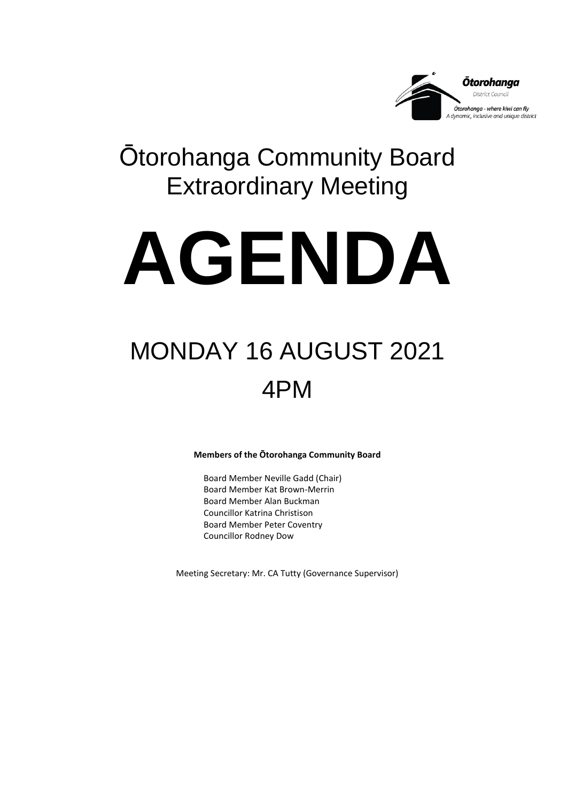

### Ōtorohanga Community Board Extraordinary Meeting

# **AGENDA**

## MONDAY 16 AUGUST 2021 4PM

**Members of the Ōtorohanga Community Board**

Board Member Neville Gadd (Chair) Board Member Kat Brown-Merrin Board Member Alan Buckman Councillor Katrina Christison Board Member Peter Coventry Councillor Rodney Dow

Meeting Secretary: Mr. CA Tutty (Governance Supervisor)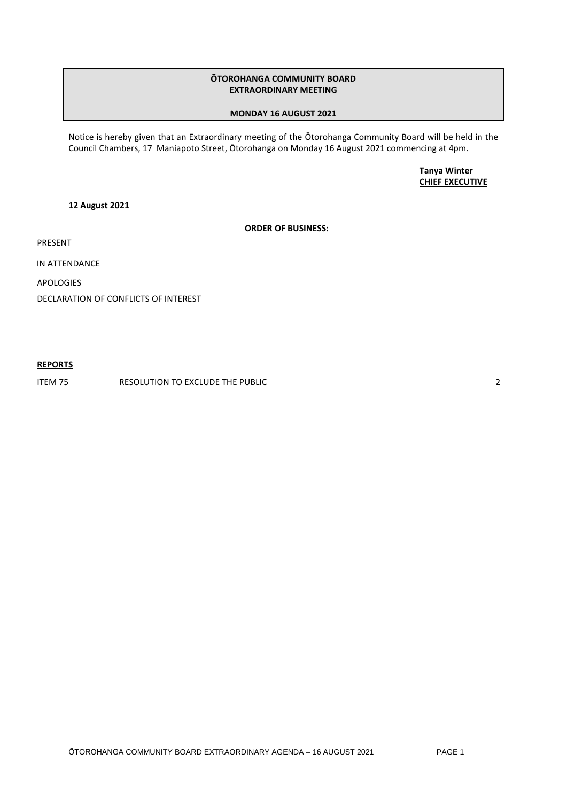#### **ŌTOROHANGA COMMUNITY BOARD EXTRAORDINARY MEETING**

#### **MONDAY 16 AUGUST 2021**

Notice is hereby given that an Extraordinary meeting of the Ōtorohanga Community Board will be held in the Council Chambers, 17 Maniapoto Street, Ōtorohanga on Monday 16 August 2021 commencing at 4pm.

> **Tanya Winter CHIEF EXECUTIVE**

**12 August 2021**

#### **ORDER OF BUSINESS:**

PRESENT

IN ATTENDANCE

APOLOGIES

DECLARATION OF CONFLICTS OF INTEREST

#### **REPORTS**

ITEM 75 RESOLUTION TO EXCLUDE THE PUBLIC 2